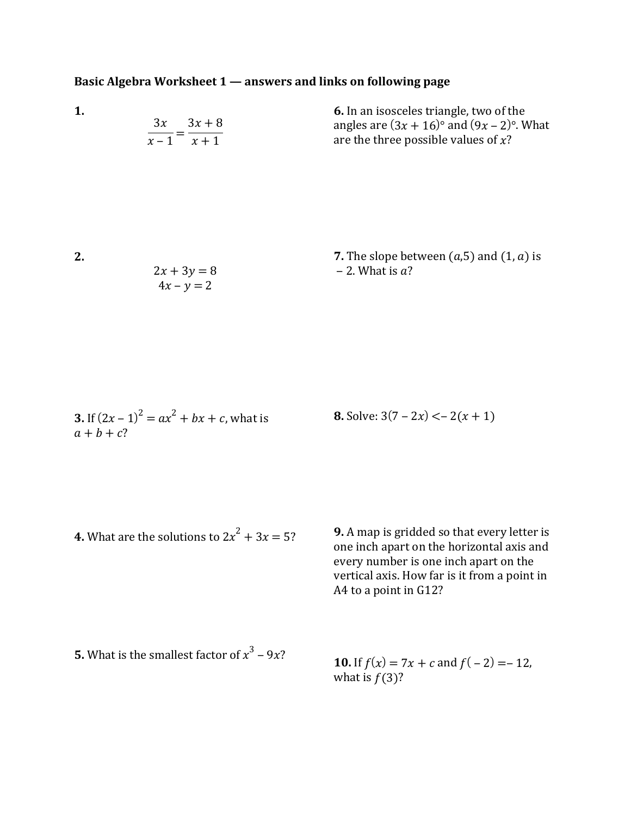## **Basic Algebra Worksheet 1 — answers and links on following page**

|             | <b>6.</b> In an isosceles triangle, two of the  |
|-------------|-------------------------------------------------|
| $3x$ $3x+8$ | angles are $(3x + 16)$ ° and $(9x - 2)$ °. What |
| $x-1$ $x+1$ | are the three possible values of $x$ ?          |

**2.** 

**1.**

7. The slope between 
$$
(a,5)
$$
 and  $(1, a)$  is  
\n $2x + 3y = 8$   
\n $4x - y = 2$   
\n4x - y = 2

3. If 
$$
(2x-1)^2 = ax^2 + bx + c
$$
, what is  
  $a + b + c$ ?

**8.** Solve:  $3(7 - 2x) < -2(x + 1)$ 

**4.** What are the solutions to  $2x^2 + 3x = 5$ ?

**9.** A map is gridded so that every letter is one inch apart on the horizontal axis and every number is one inch apart on the vertical axis. How far is it from a point in A4 to a point in G12?

**5.** What is the smallest factor of  $x^3 - 9x$ ?

**10.** If  $f(x) = 7x + c$  and  $f(-2) = -12$ , what is  $f(3)$ ?